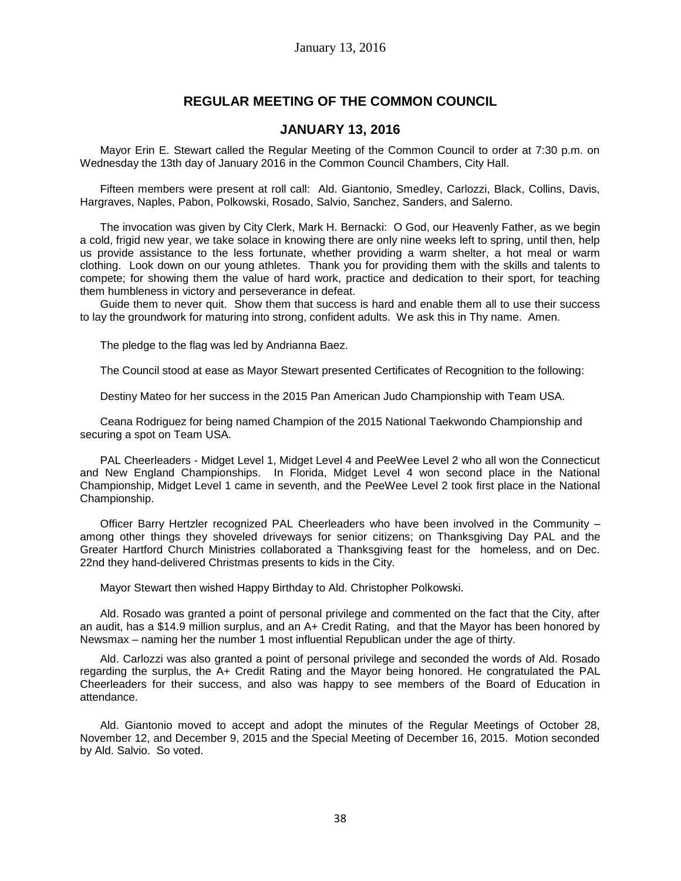# **REGULAR MEETING OF THE COMMON COUNCIL**

# **JANUARY 13, 2016**

Mayor Erin E. Stewart called the Regular Meeting of the Common Council to order at 7:30 p.m. on Wednesday the 13th day of January 2016 in the Common Council Chambers, City Hall.

Fifteen members were present at roll call: Ald. Giantonio, Smedley, Carlozzi, Black, Collins, Davis, Hargraves, Naples, Pabon, Polkowski, Rosado, Salvio, Sanchez, Sanders, and Salerno.

The invocation was given by City Clerk, Mark H. Bernacki: O God, our Heavenly Father, as we begin a cold, frigid new year, we take solace in knowing there are only nine weeks left to spring, until then, help us provide assistance to the less fortunate, whether providing a warm shelter, a hot meal or warm clothing. Look down on our young athletes. Thank you for providing them with the skills and talents to compete; for showing them the value of hard work, practice and dedication to their sport, for teaching them humbleness in victory and perseverance in defeat.

Guide them to never quit. Show them that success is hard and enable them all to use their success to lay the groundwork for maturing into strong, confident adults. We ask this in Thy name. Amen.

The pledge to the flag was led by Andrianna Baez.

The Council stood at ease as Mayor Stewart presented Certificates of Recognition to the following:

Destiny Mateo for her success in the 2015 Pan American Judo Championship with Team USA.

Ceana Rodriguez for being named Champion of the 2015 National Taekwondo Championship and securing a spot on Team USA.

PAL Cheerleaders - Midget Level 1, Midget Level 4 and PeeWee Level 2 who all won the Connecticut and New England Championships. In Florida, Midget Level 4 won second place in the National Championship, Midget Level 1 came in seventh, and the PeeWee Level 2 took first place in the National Championship.

Officer Barry Hertzler recognized PAL Cheerleaders who have been involved in the Community – among other things they shoveled driveways for senior citizens; on Thanksgiving Day PAL and the Greater Hartford Church Ministries collaborated a Thanksgiving feast for the homeless, and on Dec. 22nd they hand-delivered Christmas presents to kids in the City.

Mayor Stewart then wished Happy Birthday to Ald. Christopher Polkowski.

Ald. Rosado was granted a point of personal privilege and commented on the fact that the City, after an audit, has a \$14.9 million surplus, and an A+ Credit Rating, and that the Mayor has been honored by Newsmax – naming her the number 1 most influential Republican under the age of thirty.

Ald. Carlozzi was also granted a point of personal privilege and seconded the words of Ald. Rosado regarding the surplus, the A+ Credit Rating and the Mayor being honored. He congratulated the PAL Cheerleaders for their success, and also was happy to see members of the Board of Education in attendance.

Ald. Giantonio moved to accept and adopt the minutes of the Regular Meetings of October 28, November 12, and December 9, 2015 and the Special Meeting of December 16, 2015. Motion seconded by Ald. Salvio. So voted.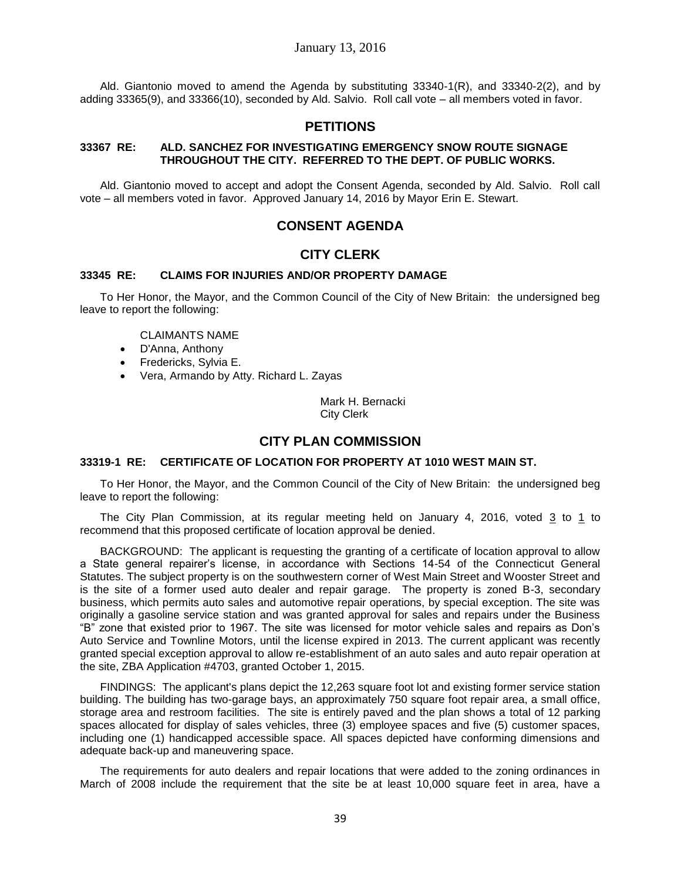Ald. Giantonio moved to amend the Agenda by substituting 33340-1(R), and 33340-2(2), and by adding 33365(9), and 33366(10), seconded by Ald. Salvio. Roll call vote – all members voted in favor.

# **PETITIONS**

## **33367 RE: ALD. SANCHEZ FOR INVESTIGATING EMERGENCY SNOW ROUTE SIGNAGE THROUGHOUT THE CITY. REFERRED TO THE DEPT. OF PUBLIC WORKS.**

Ald. Giantonio moved to accept and adopt the Consent Agenda, seconded by Ald. Salvio. Roll call vote – all members voted in favor. Approved January 14, 2016 by Mayor Erin E. Stewart.

# **CONSENT AGENDA**

# **CITY CLERK**

### **33345 RE: CLAIMS FOR INJURIES AND/OR PROPERTY DAMAGE**

To Her Honor, the Mayor, and the Common Council of the City of New Britain: the undersigned beg leave to report the following:

CLAIMANTS NAME

- D'Anna, Anthony
- Fredericks, Sylvia E.
- Vera, Armando by Atty. Richard L. Zayas

Mark H. Bernacki City Clerk

# **CITY PLAN COMMISSION**

### **33319-1 RE: CERTIFICATE OF LOCATION FOR PROPERTY AT 1010 WEST MAIN ST.**

To Her Honor, the Mayor, and the Common Council of the City of New Britain: the undersigned beg leave to report the following:

The City Plan Commission, at its regular meeting held on January 4, 2016, voted 3 to 1 to recommend that this proposed certificate of location approval be denied.

BACKGROUND: The applicant is requesting the granting of a certificate of location approval to allow a State general repairer's license, in accordance with Sections 14-54 of the Connecticut General Statutes. The subject property is on the southwestern corner of West Main Street and Wooster Street and is the site of a former used auto dealer and repair garage. The property is zoned B-3, secondary business, which permits auto sales and automotive repair operations, by special exception. The site was originally a gasoline service station and was granted approval for sales and repairs under the Business "B" zone that existed prior to 1967. The site was licensed for motor vehicle sales and repairs as Don's Auto Service and Townline Motors, until the license expired in 2013. The current applicant was recently granted special exception approval to allow re-establishment of an auto sales and auto repair operation at the site, ZBA Application #4703, granted October 1, 2015.

FINDINGS: The applicant's plans depict the 12,263 square foot lot and existing former service station building. The building has two-garage bays, an approximately 750 square foot repair area, a small office, storage area and restroom facilities. The site is entirely paved and the plan shows a total of 12 parking spaces allocated for display of sales vehicles, three (3) employee spaces and five (5) customer spaces, including one (1) handicapped accessible space. All spaces depicted have conforming dimensions and adequate back-up and maneuvering space.

The requirements for auto dealers and repair locations that were added to the zoning ordinances in March of 2008 include the requirement that the site be at least 10,000 square feet in area, have a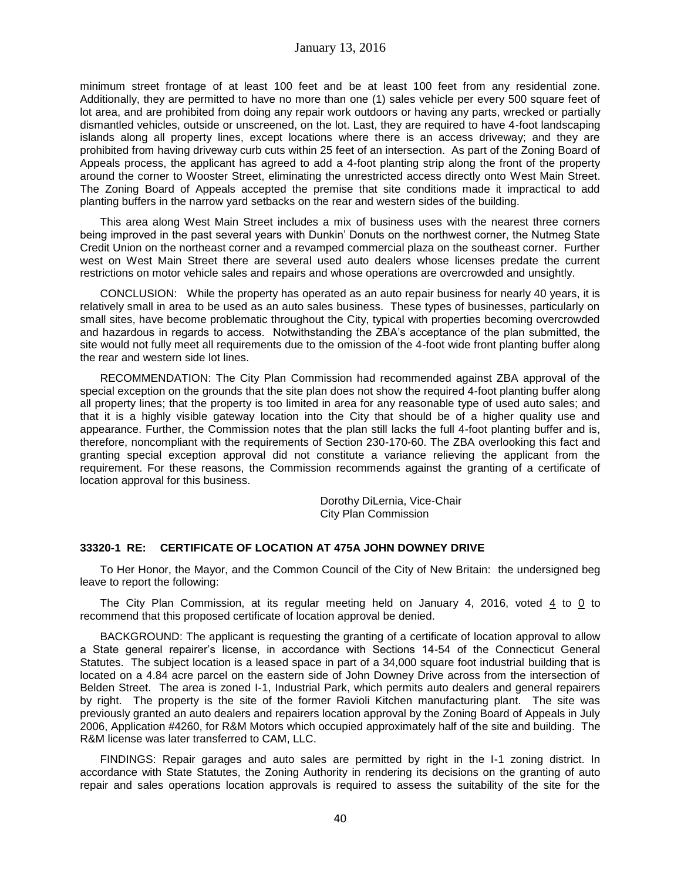minimum street frontage of at least 100 feet and be at least 100 feet from any residential zone. Additionally, they are permitted to have no more than one (1) sales vehicle per every 500 square feet of lot area, and are prohibited from doing any repair work outdoors or having any parts, wrecked or partially dismantled vehicles, outside or unscreened, on the lot. Last, they are required to have 4-foot landscaping islands along all property lines, except locations where there is an access driveway; and they are prohibited from having driveway curb cuts within 25 feet of an intersection. As part of the Zoning Board of Appeals process, the applicant has agreed to add a 4-foot planting strip along the front of the property around the corner to Wooster Street, eliminating the unrestricted access directly onto West Main Street. The Zoning Board of Appeals accepted the premise that site conditions made it impractical to add planting buffers in the narrow yard setbacks on the rear and western sides of the building.

This area along West Main Street includes a mix of business uses with the nearest three corners being improved in the past several years with Dunkin' Donuts on the northwest corner, the Nutmeg State Credit Union on the northeast corner and a revamped commercial plaza on the southeast corner. Further west on West Main Street there are several used auto dealers whose licenses predate the current restrictions on motor vehicle sales and repairs and whose operations are overcrowded and unsightly.

CONCLUSION: While the property has operated as an auto repair business for nearly 40 years, it is relatively small in area to be used as an auto sales business. These types of businesses, particularly on small sites, have become problematic throughout the City, typical with properties becoming overcrowded and hazardous in regards to access. Notwithstanding the ZBA's acceptance of the plan submitted, the site would not fully meet all requirements due to the omission of the 4-foot wide front planting buffer along the rear and western side lot lines.

RECOMMENDATION: The City Plan Commission had recommended against ZBA approval of the special exception on the grounds that the site plan does not show the required 4-foot planting buffer along all property lines; that the property is too limited in area for any reasonable type of used auto sales; and that it is a highly visible gateway location into the City that should be of a higher quality use and appearance. Further, the Commission notes that the plan still lacks the full 4-foot planting buffer and is, therefore, noncompliant with the requirements of Section 230-170-60. The ZBA overlooking this fact and granting special exception approval did not constitute a variance relieving the applicant from the requirement. For these reasons, the Commission recommends against the granting of a certificate of location approval for this business.

> Dorothy DiLernia, Vice-Chair City Plan Commission

## **33320-1 RE: CERTIFICATE OF LOCATION AT 475A JOHN DOWNEY DRIVE**

To Her Honor, the Mayor, and the Common Council of the City of New Britain: the undersigned beg leave to report the following:

The City Plan Commission, at its regular meeting held on January 4, 2016, voted 4 to 0 to recommend that this proposed certificate of location approval be denied.

BACKGROUND: The applicant is requesting the granting of a certificate of location approval to allow a State general repairer's license, in accordance with Sections 14-54 of the Connecticut General Statutes. The subject location is a leased space in part of a 34,000 square foot industrial building that is located on a 4.84 acre parcel on the eastern side of John Downey Drive across from the intersection of Belden Street. The area is zoned I-1, Industrial Park, which permits auto dealers and general repairers by right. The property is the site of the former Ravioli Kitchen manufacturing plant. The site was previously granted an auto dealers and repairers location approval by the Zoning Board of Appeals in July 2006, Application #4260, for R&M Motors which occupied approximately half of the site and building. The R&M license was later transferred to CAM, LLC.

FINDINGS: Repair garages and auto sales are permitted by right in the I-1 zoning district. In accordance with State Statutes, the Zoning Authority in rendering its decisions on the granting of auto repair and sales operations location approvals is required to assess the suitability of the site for the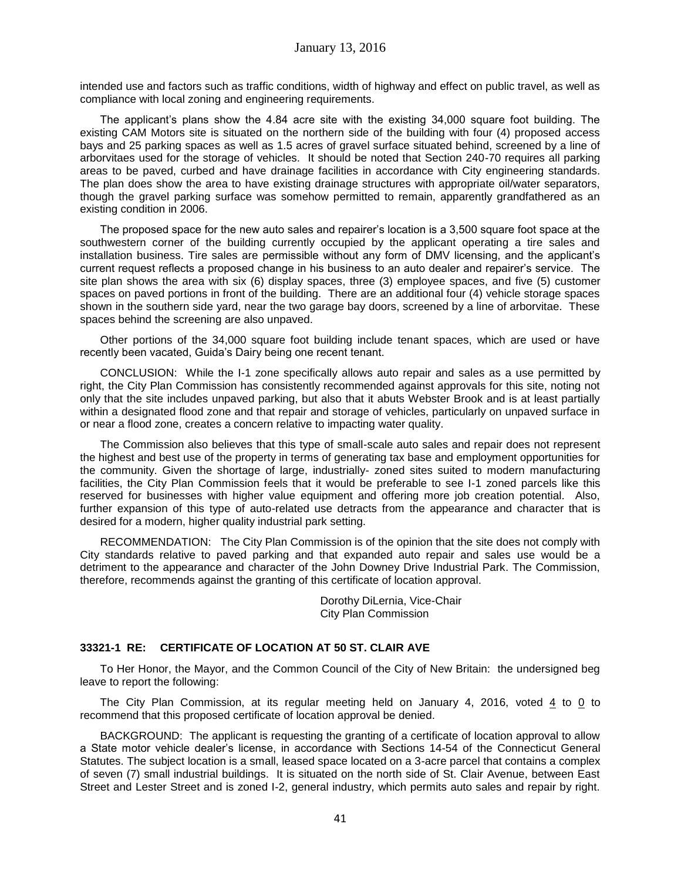intended use and factors such as traffic conditions, width of highway and effect on public travel, as well as compliance with local zoning and engineering requirements.

The applicant's plans show the 4.84 acre site with the existing 34,000 square foot building. The existing CAM Motors site is situated on the northern side of the building with four (4) proposed access bays and 25 parking spaces as well as 1.5 acres of gravel surface situated behind, screened by a line of arborvitaes used for the storage of vehicles. It should be noted that Section 240-70 requires all parking areas to be paved, curbed and have drainage facilities in accordance with City engineering standards. The plan does show the area to have existing drainage structures with appropriate oil/water separators, though the gravel parking surface was somehow permitted to remain, apparently grandfathered as an existing condition in 2006.

The proposed space for the new auto sales and repairer's location is a 3,500 square foot space at the southwestern corner of the building currently occupied by the applicant operating a tire sales and installation business. Tire sales are permissible without any form of DMV licensing, and the applicant's current request reflects a proposed change in his business to an auto dealer and repairer's service. The site plan shows the area with six (6) display spaces, three (3) employee spaces, and five (5) customer spaces on paved portions in front of the building. There are an additional four (4) vehicle storage spaces shown in the southern side yard, near the two garage bay doors, screened by a line of arborvitae. These spaces behind the screening are also unpaved.

Other portions of the 34,000 square foot building include tenant spaces, which are used or have recently been vacated, Guida's Dairy being one recent tenant.

CONCLUSION: While the I-1 zone specifically allows auto repair and sales as a use permitted by right, the City Plan Commission has consistently recommended against approvals for this site, noting not only that the site includes unpaved parking, but also that it abuts Webster Brook and is at least partially within a designated flood zone and that repair and storage of vehicles, particularly on unpaved surface in or near a flood zone, creates a concern relative to impacting water quality.

The Commission also believes that this type of small-scale auto sales and repair does not represent the highest and best use of the property in terms of generating tax base and employment opportunities for the community. Given the shortage of large, industrially- zoned sites suited to modern manufacturing facilities, the City Plan Commission feels that it would be preferable to see I-1 zoned parcels like this reserved for businesses with higher value equipment and offering more job creation potential. Also, further expansion of this type of auto-related use detracts from the appearance and character that is desired for a modern, higher quality industrial park setting.

RECOMMENDATION: The City Plan Commission is of the opinion that the site does not comply with City standards relative to paved parking and that expanded auto repair and sales use would be a detriment to the appearance and character of the John Downey Drive Industrial Park. The Commission, therefore, recommends against the granting of this certificate of location approval.

> Dorothy DiLernia, Vice-Chair City Plan Commission

### **33321-1 RE: CERTIFICATE OF LOCATION AT 50 ST. CLAIR AVE**

To Her Honor, the Mayor, and the Common Council of the City of New Britain: the undersigned beg leave to report the following:

The City Plan Commission, at its regular meeting held on January 4, 2016, voted  $4$  to 0 to recommend that this proposed certificate of location approval be denied.

BACKGROUND: The applicant is requesting the granting of a certificate of location approval to allow a State motor vehicle dealer's license, in accordance with Sections 14-54 of the Connecticut General Statutes. The subject location is a small, leased space located on a 3-acre parcel that contains a complex of seven (7) small industrial buildings. It is situated on the north side of St. Clair Avenue, between East Street and Lester Street and is zoned I-2, general industry, which permits auto sales and repair by right.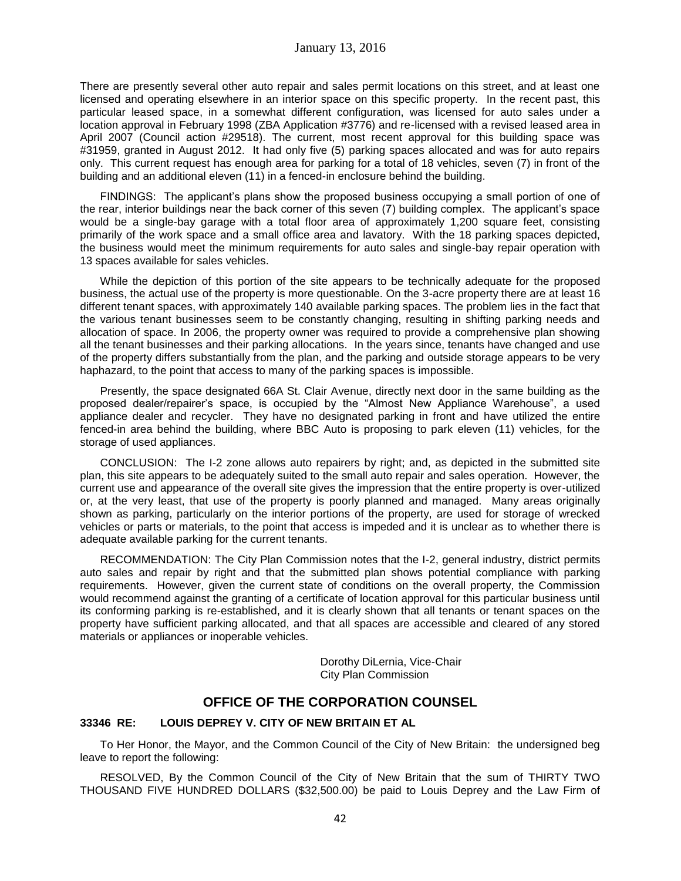There are presently several other auto repair and sales permit locations on this street, and at least one licensed and operating elsewhere in an interior space on this specific property. In the recent past, this particular leased space, in a somewhat different configuration, was licensed for auto sales under a location approval in February 1998 (ZBA Application #3776) and re-licensed with a revised leased area in April 2007 (Council action #29518). The current, most recent approval for this building space was #31959, granted in August 2012. It had only five (5) parking spaces allocated and was for auto repairs only. This current request has enough area for parking for a total of 18 vehicles, seven (7) in front of the building and an additional eleven (11) in a fenced-in enclosure behind the building.

FINDINGS: The applicant's plans show the proposed business occupying a small portion of one of the rear, interior buildings near the back corner of this seven (7) building complex. The applicant's space would be a single-bay garage with a total floor area of approximately 1,200 square feet, consisting primarily of the work space and a small office area and lavatory. With the 18 parking spaces depicted, the business would meet the minimum requirements for auto sales and single-bay repair operation with 13 spaces available for sales vehicles.

While the depiction of this portion of the site appears to be technically adequate for the proposed business, the actual use of the property is more questionable. On the 3-acre property there are at least 16 different tenant spaces, with approximately 140 available parking spaces. The problem lies in the fact that the various tenant businesses seem to be constantly changing, resulting in shifting parking needs and allocation of space. In 2006, the property owner was required to provide a comprehensive plan showing all the tenant businesses and their parking allocations. In the years since, tenants have changed and use of the property differs substantially from the plan, and the parking and outside storage appears to be very haphazard, to the point that access to many of the parking spaces is impossible.

Presently, the space designated 66A St. Clair Avenue, directly next door in the same building as the proposed dealer/repairer's space, is occupied by the "Almost New Appliance Warehouse", a used appliance dealer and recycler. They have no designated parking in front and have utilized the entire fenced-in area behind the building, where BBC Auto is proposing to park eleven (11) vehicles, for the storage of used appliances.

CONCLUSION: The I-2 zone allows auto repairers by right; and, as depicted in the submitted site plan, this site appears to be adequately suited to the small auto repair and sales operation. However, the current use and appearance of the overall site gives the impression that the entire property is over-utilized or, at the very least, that use of the property is poorly planned and managed. Many areas originally shown as parking, particularly on the interior portions of the property, are used for storage of wrecked vehicles or parts or materials, to the point that access is impeded and it is unclear as to whether there is adequate available parking for the current tenants.

RECOMMENDATION: The City Plan Commission notes that the I-2, general industry, district permits auto sales and repair by right and that the submitted plan shows potential compliance with parking requirements. However, given the current state of conditions on the overall property, the Commission would recommend against the granting of a certificate of location approval for this particular business until its conforming parking is re-established, and it is clearly shown that all tenants or tenant spaces on the property have sufficient parking allocated, and that all spaces are accessible and cleared of any stored materials or appliances or inoperable vehicles.

> Dorothy DiLernia, Vice-Chair City Plan Commission

# **OFFICE OF THE CORPORATION COUNSEL**

# **33346 RE: LOUIS DEPREY V. CITY OF NEW BRITAIN ET AL**

To Her Honor, the Mayor, and the Common Council of the City of New Britain: the undersigned beg leave to report the following:

RESOLVED, By the Common Council of the City of New Britain that the sum of THIRTY TWO THOUSAND FIVE HUNDRED DOLLARS (\$32,500.00) be paid to Louis Deprey and the Law Firm of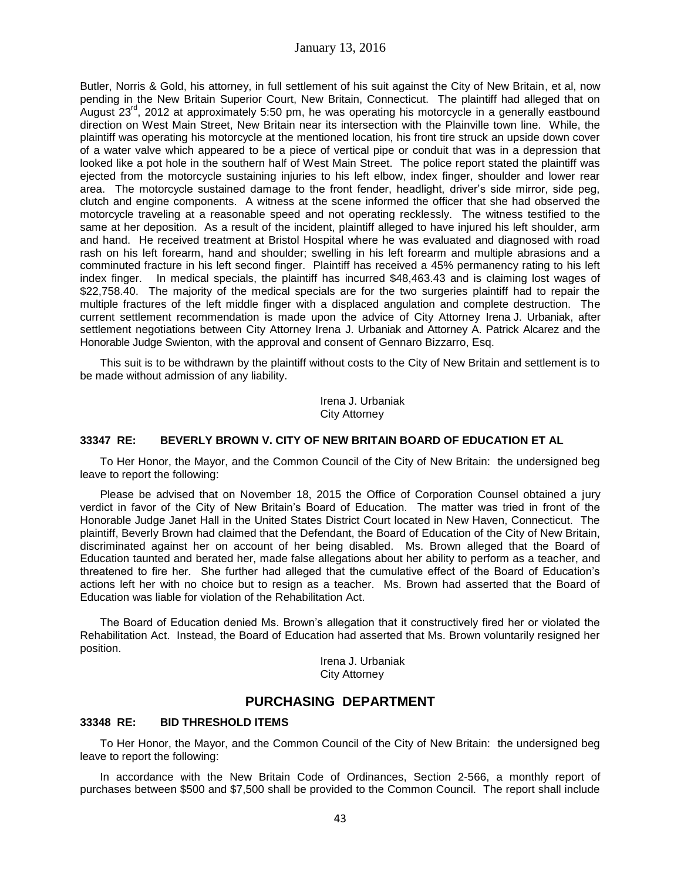Butler, Norris & Gold, his attorney, in full settlement of his suit against the City of New Britain, et al, now pending in the New Britain Superior Court, New Britain, Connecticut. The plaintiff had alleged that on August 23<sup>rd</sup>, 2012 at approximately 5:50 pm, he was operating his motorcycle in a generally eastbound direction on West Main Street, New Britain near its intersection with the Plainville town line. While, the plaintiff was operating his motorcycle at the mentioned location, his front tire struck an upside down cover of a water valve which appeared to be a piece of vertical pipe or conduit that was in a depression that looked like a pot hole in the southern half of West Main Street. The police report stated the plaintiff was ejected from the motorcycle sustaining injuries to his left elbow, index finger, shoulder and lower rear area. The motorcycle sustained damage to the front fender, headlight, driver's side mirror, side peg, clutch and engine components. A witness at the scene informed the officer that she had observed the motorcycle traveling at a reasonable speed and not operating recklessly. The witness testified to the same at her deposition. As a result of the incident, plaintiff alleged to have injured his left shoulder, arm and hand. He received treatment at Bristol Hospital where he was evaluated and diagnosed with road rash on his left forearm, hand and shoulder; swelling in his left forearm and multiple abrasions and a comminuted fracture in his left second finger. Plaintiff has received a 45% permanency rating to his left index finger. In medical specials, the plaintiff has incurred \$48,463.43 and is claiming lost wages of \$22,758.40. The majority of the medical specials are for the two surgeries plaintiff had to repair the multiple fractures of the left middle finger with a displaced angulation and complete destruction. The current settlement recommendation is made upon the advice of City Attorney Irena J. Urbaniak, after settlement negotiations between City Attorney Irena J. Urbaniak and Attorney A. Patrick Alcarez and the Honorable Judge Swienton, with the approval and consent of Gennaro Bizzarro, Esq.

This suit is to be withdrawn by the plaintiff without costs to the City of New Britain and settlement is to be made without admission of any liability.

> Irena J. Urbaniak City Attorney

## **33347 RE: BEVERLY BROWN V. CITY OF NEW BRITAIN BOARD OF EDUCATION ET AL**

To Her Honor, the Mayor, and the Common Council of the City of New Britain: the undersigned beg leave to report the following:

Please be advised that on November 18, 2015 the Office of Corporation Counsel obtained a jury verdict in favor of the City of New Britain's Board of Education. The matter was tried in front of the Honorable Judge Janet Hall in the United States District Court located in New Haven, Connecticut. The plaintiff, Beverly Brown had claimed that the Defendant, the Board of Education of the City of New Britain, discriminated against her on account of her being disabled. Ms. Brown alleged that the Board of Education taunted and berated her, made false allegations about her ability to perform as a teacher, and threatened to fire her. She further had alleged that the cumulative effect of the Board of Education's actions left her with no choice but to resign as a teacher. Ms. Brown had asserted that the Board of Education was liable for violation of the Rehabilitation Act.

The Board of Education denied Ms. Brown's allegation that it constructively fired her or violated the Rehabilitation Act. Instead, the Board of Education had asserted that Ms. Brown voluntarily resigned her position.

> Irena J. Urbaniak City Attorney

# **PURCHASING DEPARTMENT**

### **33348 RE: BID THRESHOLD ITEMS**

To Her Honor, the Mayor, and the Common Council of the City of New Britain: the undersigned beg leave to report the following:

In accordance with the New Britain Code of Ordinances, Section 2-566, a monthly report of purchases between \$500 and \$7,500 shall be provided to the Common Council. The report shall include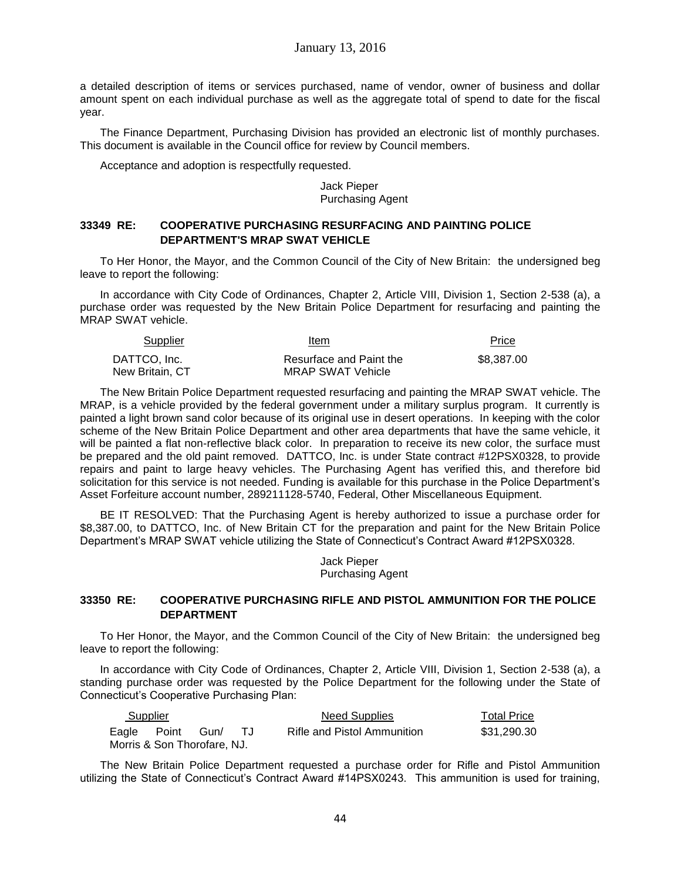a detailed description of items or services purchased, name of vendor, owner of business and dollar amount spent on each individual purchase as well as the aggregate total of spend to date for the fiscal year.

The Finance Department, Purchasing Division has provided an electronic list of monthly purchases. This document is available in the Council office for review by Council members.

Acceptance and adoption is respectfully requested.

Jack Pieper Purchasing Agent

## **33349 RE: COOPERATIVE PURCHASING RESURFACING AND PAINTING POLICE DEPARTMENT'S MRAP SWAT VEHICLE**

To Her Honor, the Mayor, and the Common Council of the City of New Britain: the undersigned beg leave to report the following:

In accordance with City Code of Ordinances, Chapter 2, Article VIII, Division 1, Section 2-538 (a), a purchase order was requested by the New Britain Police Department for resurfacing and painting the MRAP SWAT vehicle.

| <b>Supplier</b> | Item                    | Price      |
|-----------------|-------------------------|------------|
| DATTCO. Inc.    | Resurface and Paint the | \$8,387,00 |
| New Britain, CT | MRAP SWAT Vehicle       |            |

The New Britain Police Department requested resurfacing and painting the MRAP SWAT vehicle. The MRAP, is a vehicle provided by the federal government under a military surplus program. It currently is painted a light brown sand color because of its original use in desert operations. In keeping with the color scheme of the New Britain Police Department and other area departments that have the same vehicle, it will be painted a flat non-reflective black color. In preparation to receive its new color, the surface must be prepared and the old paint removed. DATTCO, Inc. is under State contract #12PSX0328, to provide repairs and paint to large heavy vehicles. The Purchasing Agent has verified this, and therefore bid solicitation for this service is not needed. Funding is available for this purchase in the Police Department's Asset Forfeiture account number, 289211128-5740, Federal, Other Miscellaneous Equipment.

BE IT RESOLVED: That the Purchasing Agent is hereby authorized to issue a purchase order for \$8,387.00, to DATTCO, Inc. of New Britain CT for the preparation and paint for the New Britain Police Department's MRAP SWAT vehicle utilizing the State of Connecticut's Contract Award #12PSX0328.

> Jack Pieper Purchasing Agent

# **33350 RE: COOPERATIVE PURCHASING RIFLE AND PISTOL AMMUNITION FOR THE POLICE DEPARTMENT**

To Her Honor, the Mayor, and the Common Council of the City of New Britain: the undersigned beg leave to report the following:

In accordance with City Code of Ordinances, Chapter 2, Article VIII, Division 1, Section 2-538 (a), a standing purchase order was requested by the Police Department for the following under the State of Connecticut's Cooperative Purchasing Plan:

| Supplier                    |      | Need Supplies               | Total Price |
|-----------------------------|------|-----------------------------|-------------|
| Eagle Point                 | Gun/ | Rifle and Pistol Ammunition | \$31,290.30 |
| Morris & Son Thorofare, NJ. |      |                             |             |

The New Britain Police Department requested a purchase order for Rifle and Pistol Ammunition utilizing the State of Connecticut's Contract Award #14PSX0243. This ammunition is used for training,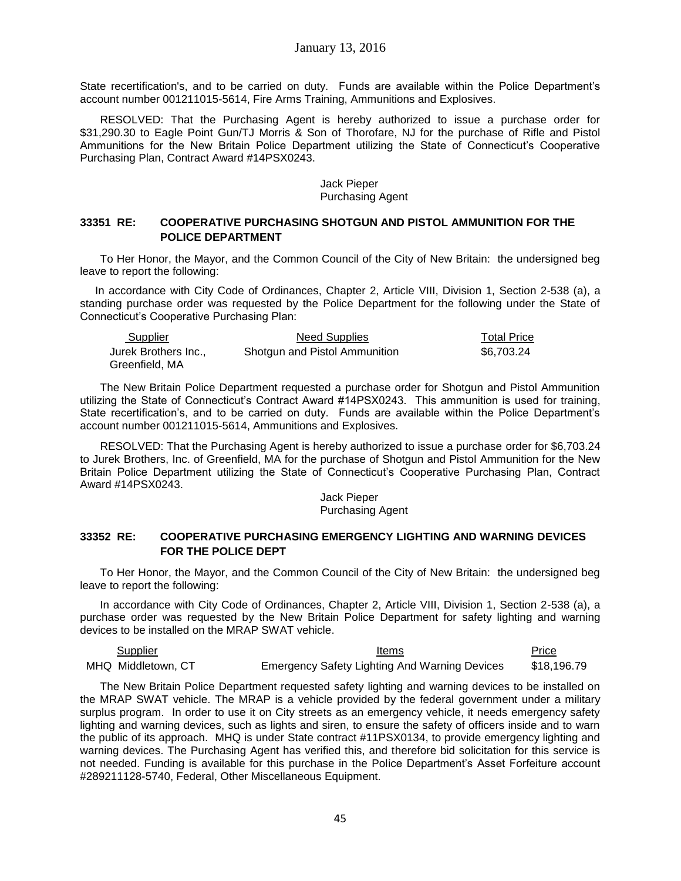State recertification's, and to be carried on duty. Funds are available within the Police Department's account number 001211015-5614, Fire Arms Training, Ammunitions and Explosives.

RESOLVED: That the Purchasing Agent is hereby authorized to issue a purchase order for \$31,290.30 to Eagle Point Gun/TJ Morris & Son of Thorofare, NJ for the purchase of Rifle and Pistol Ammunitions for the New Britain Police Department utilizing the State of Connecticut's Cooperative Purchasing Plan, Contract Award #14PSX0243.

### Jack Pieper Purchasing Agent

## **33351 RE: COOPERATIVE PURCHASING SHOTGUN AND PISTOL AMMUNITION FOR THE POLICE DEPARTMENT**

To Her Honor, the Mayor, and the Common Council of the City of New Britain: the undersigned beg leave to report the following:

In accordance with City Code of Ordinances, Chapter 2, Article VIII, Division 1, Section 2-538 (a), a standing purchase order was requested by the Police Department for the following under the State of Connecticut's Cooperative Purchasing Plan:

| Supplier             | Need Supplies                 | <b>Total Price</b> |
|----------------------|-------------------------------|--------------------|
| Jurek Brothers Inc., | Shotgun and Pistol Ammunition | \$6.703.24         |
| Greenfield, MA       |                               |                    |

The New Britain Police Department requested a purchase order for Shotgun and Pistol Ammunition utilizing the State of Connecticut's Contract Award #14PSX0243. This ammunition is used for training, State recertification's, and to be carried on duty. Funds are available within the Police Department's account number 001211015-5614, Ammunitions and Explosives.

RESOLVED: That the Purchasing Agent is hereby authorized to issue a purchase order for \$6,703.24 to Jurek Brothers, Inc. of Greenfield, MA for the purchase of Shotgun and Pistol Ammunition for the New Britain Police Department utilizing the State of Connecticut's Cooperative Purchasing Plan, Contract Award #14PSX0243.

#### Jack Pieper Purchasing Agent

### **33352 RE: COOPERATIVE PURCHASING EMERGENCY LIGHTING AND WARNING DEVICES FOR THE POLICE DEPT**

To Her Honor, the Mayor, and the Common Council of the City of New Britain: the undersigned beg leave to report the following:

In accordance with City Code of Ordinances, Chapter 2, Article VIII, Division 1, Section 2-538 (a), a purchase order was requested by the New Britain Police Department for safety lighting and warning devices to be installed on the MRAP SWAT vehicle.

| Supplier           | Items                                                | Price       |
|--------------------|------------------------------------------------------|-------------|
| MHQ Middletown, CT | <b>Emergency Safety Lighting And Warning Devices</b> | \$18,196.79 |

The New Britain Police Department requested safety lighting and warning devices to be installed on the MRAP SWAT vehicle. The MRAP is a vehicle provided by the federal government under a military surplus program. In order to use it on City streets as an emergency vehicle, it needs emergency safety lighting and warning devices, such as lights and siren, to ensure the safety of officers inside and to warn the public of its approach. MHQ is under State contract #11PSX0134, to provide emergency lighting and warning devices. The Purchasing Agent has verified this, and therefore bid solicitation for this service is not needed. Funding is available for this purchase in the Police Department's Asset Forfeiture account #289211128-5740, Federal, Other Miscellaneous Equipment.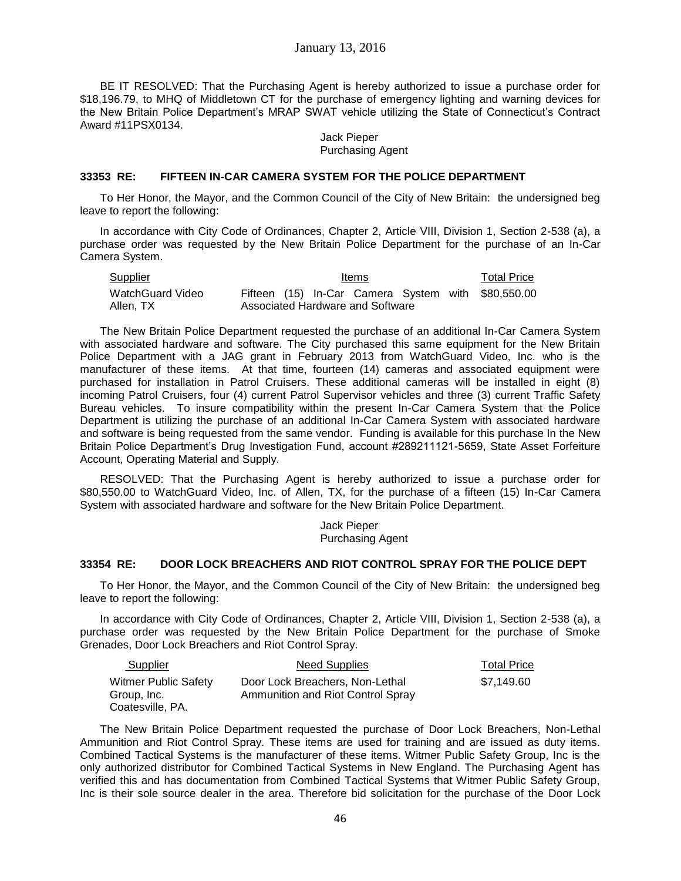January 13, 2016

BE IT RESOLVED: That the Purchasing Agent is hereby authorized to issue a purchase order for \$18,196.79, to MHQ of Middletown CT for the purchase of emergency lighting and warning devices for the New Britain Police Department's MRAP SWAT vehicle utilizing the State of Connecticut's Contract Award #11PSX0134.

> Jack Pieper Purchasing Agent

#### **33353 RE: FIFTEEN IN-CAR CAMERA SYSTEM FOR THE POLICE DEPARTMENT**

To Her Honor, the Mayor, and the Common Council of the City of New Britain: the undersigned beg leave to report the following:

In accordance with City Code of Ordinances, Chapter 2, Article VIII, Division 1, Section 2-538 (a), a purchase order was requested by the New Britain Police Department for the purchase of an In-Car Camera System.

| Supplier         |  | Items                            |  | <b>Total Price</b>                                 |
|------------------|--|----------------------------------|--|----------------------------------------------------|
| WatchGuard Video |  |                                  |  | Fifteen (15) In-Car Camera System with \$80,550.00 |
| Allen. TX        |  | Associated Hardware and Software |  |                                                    |

The New Britain Police Department requested the purchase of an additional In-Car Camera System with associated hardware and software. The City purchased this same equipment for the New Britain Police Department with a JAG grant in February 2013 from WatchGuard Video, Inc. who is the manufacturer of these items. At that time, fourteen (14) cameras and associated equipment were purchased for installation in Patrol Cruisers. These additional cameras will be installed in eight (8) incoming Patrol Cruisers, four (4) current Patrol Supervisor vehicles and three (3) current Traffic Safety Bureau vehicles. To insure compatibility within the present In-Car Camera System that the Police Department is utilizing the purchase of an additional In-Car Camera System with associated hardware and software is being requested from the same vendor. Funding is available for this purchase In the New Britain Police Department's Drug Investigation Fund, account #289211121-5659, State Asset Forfeiture Account, Operating Material and Supply.

RESOLVED: That the Purchasing Agent is hereby authorized to issue a purchase order for \$80,550.00 to WatchGuard Video, Inc. of Allen, TX, for the purchase of a fifteen (15) In-Car Camera System with associated hardware and software for the New Britain Police Department.

> Jack Pieper Purchasing Agent

#### **33354 RE: DOOR LOCK BREACHERS AND RIOT CONTROL SPRAY FOR THE POLICE DEPT**

To Her Honor, the Mayor, and the Common Council of the City of New Britain: the undersigned beg leave to report the following:

In accordance with City Code of Ordinances, Chapter 2, Article VIII, Division 1, Section 2-538 (a), a purchase order was requested by the New Britain Police Department for the purchase of Smoke Grenades, Door Lock Breachers and Riot Control Spray.

| Supplier             | Need Supplies                     | <b>Total Price</b> |
|----------------------|-----------------------------------|--------------------|
| Witmer Public Safety | Door Lock Breachers, Non-Lethal   | \$7.149.60         |
| Group, Inc.          | Ammunition and Riot Control Spray |                    |
| Coatesville, PA.     |                                   |                    |

The New Britain Police Department requested the purchase of Door Lock Breachers, Non-Lethal Ammunition and Riot Control Spray. These items are used for training and are issued as duty items. Combined Tactical Systems is the manufacturer of these items. Witmer Public Safety Group, Inc is the only authorized distributor for Combined Tactical Systems in New England. The Purchasing Agent has verified this and has documentation from Combined Tactical Systems that Witmer Public Safety Group, Inc is their sole source dealer in the area. Therefore bid solicitation for the purchase of the Door Lock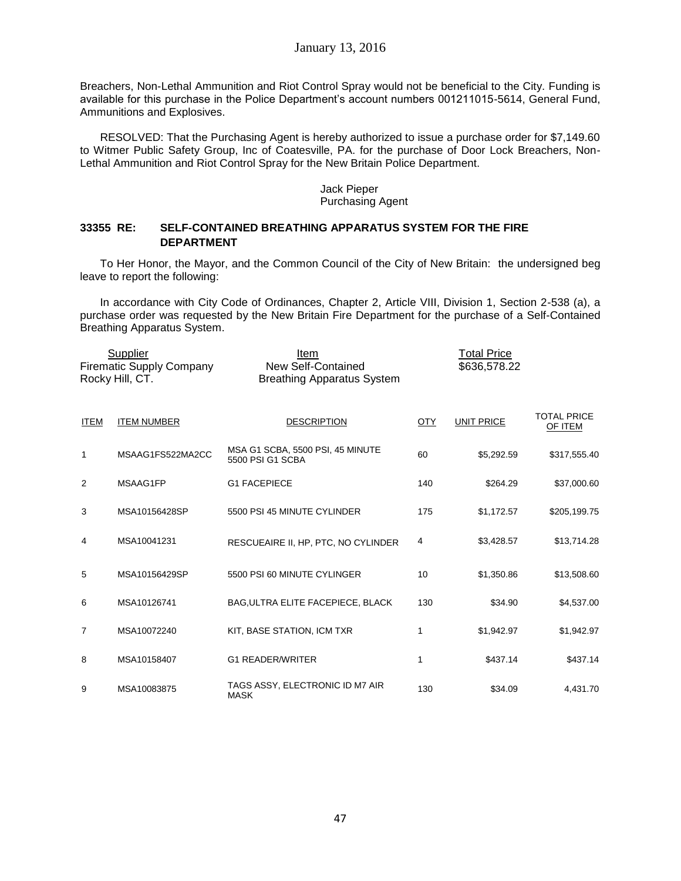Breachers, Non-Lethal Ammunition and Riot Control Spray would not be beneficial to the City. Funding is available for this purchase in the Police Department's account numbers 001211015-5614, General Fund, Ammunitions and Explosives.

RESOLVED: That the Purchasing Agent is hereby authorized to issue a purchase order for \$7,149.60 to Witmer Public Safety Group, Inc of Coatesville, PA. for the purchase of Door Lock Breachers, Non-Lethal Ammunition and Riot Control Spray for the New Britain Police Department.

### Jack Pieper Purchasing Agent

## **33355 RE: SELF-CONTAINED BREATHING APPARATUS SYSTEM FOR THE FIRE DEPARTMENT**

To Her Honor, the Mayor, and the Common Council of the City of New Britain: the undersigned beg leave to report the following:

In accordance with City Code of Ordinances, Chapter 2, Article VIII, Division 1, Section 2-538 (a), a purchase order was requested by the New Britain Fire Department for the purchase of a Self-Contained Breathing Apparatus System.

|             | Supplier<br><b>Firematic Supply Company</b><br>Rocky Hill, CT. | Item<br>New Self-Contained<br><b>Breathing Apparatus System</b> |            | <b>Total Price</b><br>\$636,578.22 |                               |
|-------------|----------------------------------------------------------------|-----------------------------------------------------------------|------------|------------------------------------|-------------------------------|
| <b>ITEM</b> | <b>ITEM NUMBER</b>                                             | <b>DESCRIPTION</b>                                              | <b>OTY</b> | <b>UNIT PRICE</b>                  | <b>TOTAL PRICE</b><br>OF ITEM |
| 1           | MSAAG1FS522MA2CC                                               | MSA G1 SCBA, 5500 PSI, 45 MINUTE<br>5500 PSI G1 SCBA            | 60         | \$5,292.59                         | \$317,555.40                  |
| 2           | MSAAG1FP                                                       | <b>G1 FACEPIECE</b>                                             | 140        | \$264.29                           | \$37,000.60                   |
| 3           | MSA10156428SP                                                  | 5500 PSI 45 MINUTE CYLINDER                                     | 175        | \$1,172.57                         | \$205,199.75                  |
| 4           | MSA10041231                                                    | RESCUEAIRE II, HP, PTC, NO CYLINDER                             | 4          | \$3,428.57                         | \$13,714.28                   |
| 5           | MSA10156429SP                                                  | 5500 PSI 60 MINUTE CYLINGER                                     | 10         | \$1,350.86                         | \$13,508.60                   |
| 6           | MSA10126741                                                    | <b>BAG, ULTRA ELITE FACEPIECE, BLACK</b>                        | 130        | \$34.90                            | \$4,537.00                    |
| 7           | MSA10072240                                                    | KIT, BASE STATION, ICM TXR                                      | 1          | \$1,942.97                         | \$1,942.97                    |
| 8           | MSA10158407                                                    | <b>G1 READER/WRITER</b>                                         | 1          | \$437.14                           | \$437.14                      |
| 9           | MSA10083875                                                    | TAGS ASSY, ELECTRONIC ID M7 AIR<br><b>MASK</b>                  | 130        | \$34.09                            | 4,431.70                      |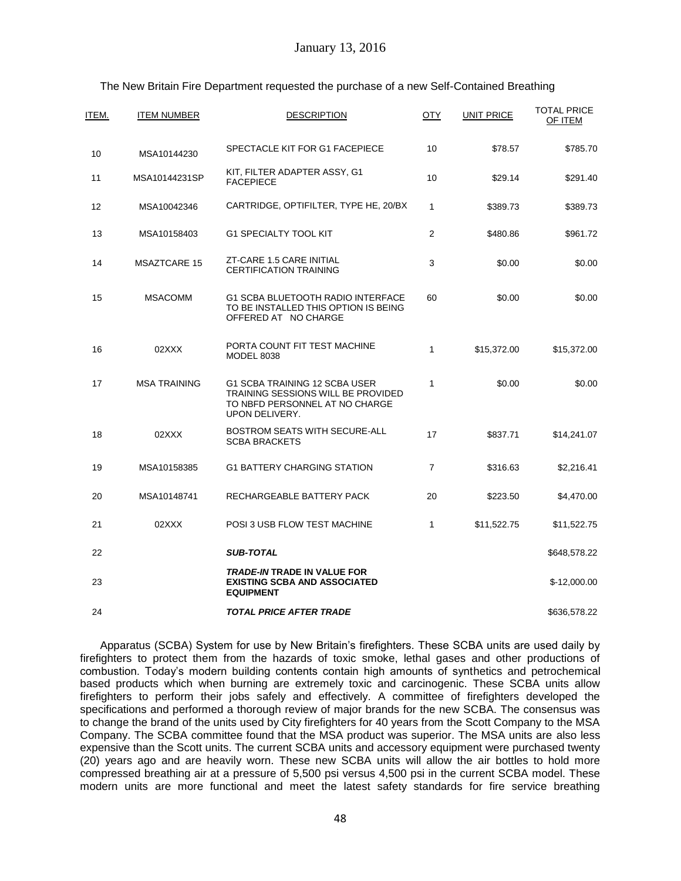| ITEM. | <b>ITEM NUMBER</b>  | <b>DESCRIPTION</b>                                                                                                                    | <b>OTY</b>     | <b>UNIT PRICE</b> | <b>TOTAL PRICE</b><br>OF ITEM |
|-------|---------------------|---------------------------------------------------------------------------------------------------------------------------------------|----------------|-------------------|-------------------------------|
| 10    | MSA10144230         | SPECTACLE KIT FOR G1 FACEPIECE                                                                                                        | 10             | \$78.57           | \$785.70                      |
| 11    | MSA10144231SP       | KIT, FILTER ADAPTER ASSY, G1<br><b>FACEPIECE</b>                                                                                      | 10             | \$29.14           | \$291.40                      |
| 12    | MSA10042346         | CARTRIDGE, OPTIFILTER, TYPE HE, 20/BX                                                                                                 | $\mathbf{1}$   | \$389.73          | \$389.73                      |
| 13    | MSA10158403         | <b>G1 SPECIALTY TOOL KIT</b>                                                                                                          | 2              | \$480.86          | \$961.72                      |
| 14    | <b>MSAZTCARE 15</b> | ZT-CARE 1.5 CARE INITIAL<br><b>CERTIFICATION TRAINING</b>                                                                             | $\mathsf 3$    | \$0.00            | \$0.00                        |
| 15    | <b>MSACOMM</b>      | G1 SCBA BLUETOOTH RADIO INTERFACE<br>TO BE INSTALLED THIS OPTION IS BEING<br>OFFERED AT NO CHARGE                                     | 60             | \$0.00            | \$0.00                        |
| 16    | 02XXX               | PORTA COUNT FIT TEST MACHINE<br><b>MODEL 8038</b>                                                                                     | 1              | \$15,372.00       | \$15,372.00                   |
| 17    | <b>MSA TRAINING</b> | G1 SCBA TRAINING 12 SCBA USER<br><b>TRAINING SESSIONS WILL BE PROVIDED</b><br>TO NBFD PERSONNEL AT NO CHARGE<br><b>UPON DELIVERY.</b> | $\mathbf{1}$   | \$0.00            | \$0.00                        |
| 18    | 02XXX               | <b>BOSTROM SEATS WITH SECURE-ALL</b><br><b>SCBA BRACKETS</b>                                                                          | 17             | \$837.71          | \$14,241.07                   |
| 19    | MSA10158385         | <b>G1 BATTERY CHARGING STATION</b>                                                                                                    | $\overline{7}$ | \$316.63          | \$2,216.41                    |
| 20    | MSA10148741         | RECHARGEABLE BATTERY PACK                                                                                                             | 20             | \$223.50          | \$4,470.00                    |
| 21    | 02XXX               | POSI 3 USB FLOW TEST MACHINE                                                                                                          | 1              | \$11,522.75       | \$11,522.75                   |
| 22    |                     | <b>SUB-TOTAL</b>                                                                                                                      |                |                   | \$648,578.22                  |
| 23    |                     | <b>TRADE-IN TRADE IN VALUE FOR</b><br><b>EXISTING SCBA AND ASSOCIATED</b><br><b>EQUIPMENT</b>                                         |                |                   | $$-12,000.00$                 |
| 24    |                     | <b>TOTAL PRICE AFTER TRADE</b>                                                                                                        |                |                   | \$636,578.22                  |

# The New Britain Fire Department requested the purchase of a new Self-Contained Breathing

Apparatus (SCBA) System for use by New Britain's firefighters. These SCBA units are used daily by firefighters to protect them from the hazards of toxic smoke, lethal gases and other productions of combustion. Today's modern building contents contain high amounts of synthetics and petrochemical based products which when burning are extremely toxic and carcinogenic. These SCBA units allow firefighters to perform their jobs safely and effectively. A committee of firefighters developed the specifications and performed a thorough review of major brands for the new SCBA. The consensus was to change the brand of the units used by City firefighters for 40 years from the Scott Company to the MSA Company. The SCBA committee found that the MSA product was superior. The MSA units are also less expensive than the Scott units. The current SCBA units and accessory equipment were purchased twenty (20) years ago and are heavily worn. These new SCBA units will allow the air bottles to hold more compressed breathing air at a pressure of 5,500 psi versus 4,500 psi in the current SCBA model. These modern units are more functional and meet the latest safety standards for fire service breathing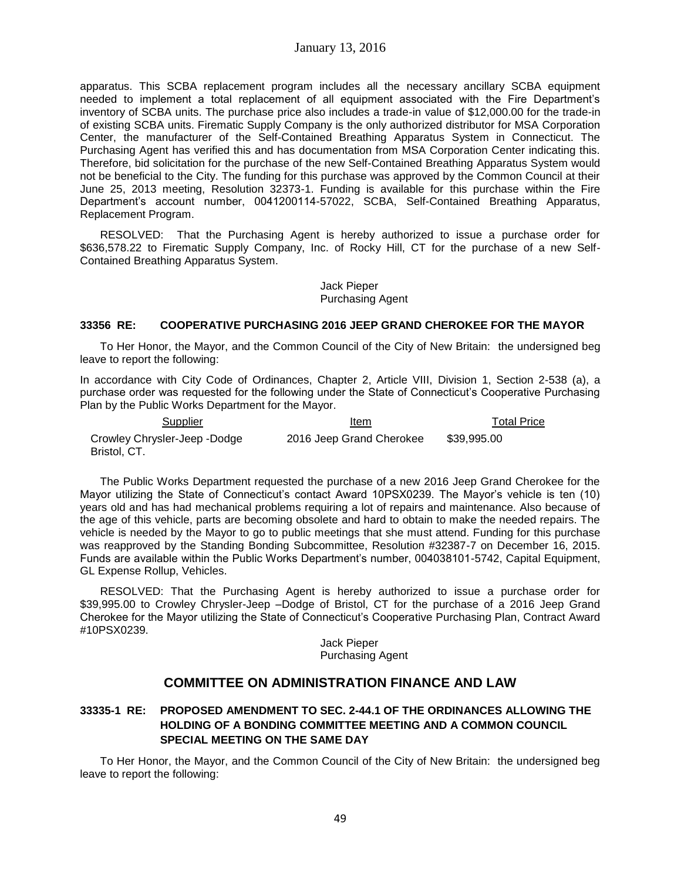apparatus. This SCBA replacement program includes all the necessary ancillary SCBA equipment needed to implement a total replacement of all equipment associated with the Fire Department's inventory of SCBA units. The purchase price also includes a trade-in value of \$12,000.00 for the trade-in of existing SCBA units. Firematic Supply Company is the only authorized distributor for MSA Corporation Center, the manufacturer of the Self-Contained Breathing Apparatus System in Connecticut. The Purchasing Agent has verified this and has documentation from MSA Corporation Center indicating this. Therefore, bid solicitation for the purchase of the new Self-Contained Breathing Apparatus System would not be beneficial to the City. The funding for this purchase was approved by the Common Council at their June 25, 2013 meeting, Resolution 32373-1. Funding is available for this purchase within the Fire Department's account number, 0041200114-57022, SCBA, Self-Contained Breathing Apparatus, Replacement Program.

RESOLVED: That the Purchasing Agent is hereby authorized to issue a purchase order for \$636,578.22 to Firematic Supply Company, Inc. of Rocky Hill, CT for the purchase of a new Self-Contained Breathing Apparatus System.

> Jack Pieper Purchasing Agent

## **33356 RE: COOPERATIVE PURCHASING 2016 JEEP GRAND CHEROKEE FOR THE MAYOR**

To Her Honor, the Mayor, and the Common Council of the City of New Britain: the undersigned beg leave to report the following:

In accordance with City Code of Ordinances, Chapter 2, Article VIII, Division 1, Section 2-538 (a), a purchase order was requested for the following under the State of Connecticut's Cooperative Purchasing Plan by the Public Works Department for the Mayor.

| Supplier                                     | Item                     | <b>Total Price</b> |
|----------------------------------------------|--------------------------|--------------------|
| Crowley Chrysler-Jeep -Dodge<br>Bristol, CT. | 2016 Jeep Grand Cherokee | \$39.995.00        |

The Public Works Department requested the purchase of a new 2016 Jeep Grand Cherokee for the Mayor utilizing the State of Connecticut's contact Award 10PSX0239. The Mayor's vehicle is ten (10) years old and has had mechanical problems requiring a lot of repairs and maintenance. Also because of the age of this vehicle, parts are becoming obsolete and hard to obtain to make the needed repairs. The vehicle is needed by the Mayor to go to public meetings that she must attend. Funding for this purchase was reapproved by the Standing Bonding Subcommittee, Resolution #32387-7 on December 16, 2015. Funds are available within the Public Works Department's number, 004038101-5742, Capital Equipment, GL Expense Rollup, Vehicles.

RESOLVED: That the Purchasing Agent is hereby authorized to issue a purchase order for \$39,995.00 to Crowley Chrysler-Jeep –Dodge of Bristol, CT for the purchase of a 2016 Jeep Grand Cherokee for the Mayor utilizing the State of Connecticut's Cooperative Purchasing Plan, Contract Award #10PSX0239.

### Jack Pieper Purchasing Agent

# **COMMITTEE ON ADMINISTRATION FINANCE AND LAW**

# **33335-1 RE: PROPOSED AMENDMENT TO SEC. 2-44.1 OF THE ORDINANCES ALLOWING THE HOLDING OF A BONDING COMMITTEE MEETING AND A COMMON COUNCIL SPECIAL MEETING ON THE SAME DAY**

To Her Honor, the Mayor, and the Common Council of the City of New Britain: the undersigned beg leave to report the following: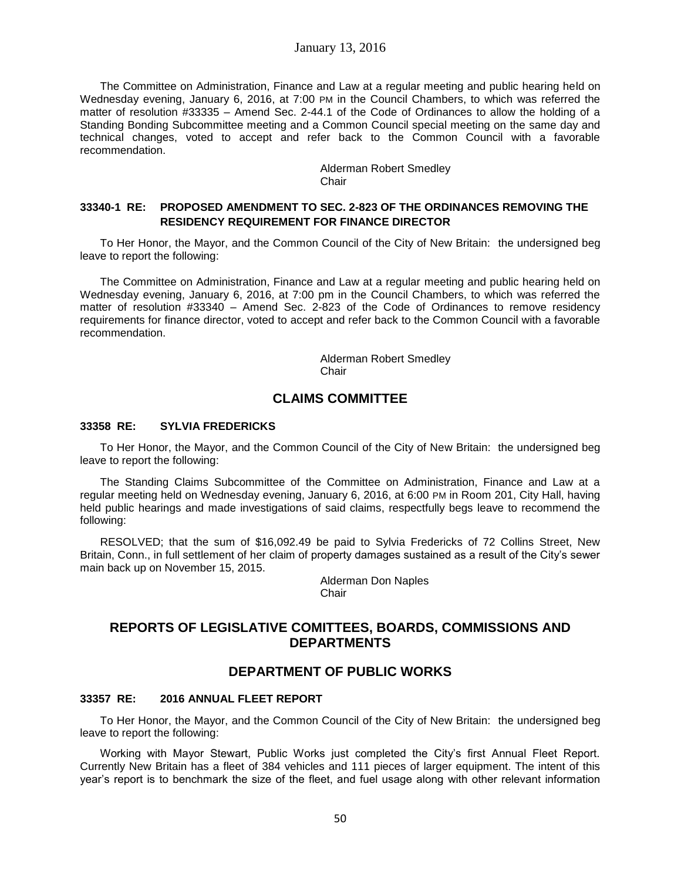### January 13, 2016

The Committee on Administration, Finance and Law at a regular meeting and public hearing held on Wednesday evening, January 6, 2016, at 7:00 PM in the Council Chambers, to which was referred the matter of resolution #33335 – Amend Sec. 2-44.1 of the Code of Ordinances to allow the holding of a Standing Bonding Subcommittee meeting and a Common Council special meeting on the same day and technical changes, voted to accept and refer back to the Common Council with a favorable recommendation.

> Alderman Robert Smedley **Chair**

## **33340-1 RE: PROPOSED AMENDMENT TO SEC. 2-823 OF THE ORDINANCES REMOVING THE RESIDENCY REQUIREMENT FOR FINANCE DIRECTOR**

To Her Honor, the Mayor, and the Common Council of the City of New Britain: the undersigned beg leave to report the following:

The Committee on Administration, Finance and Law at a regular meeting and public hearing held on Wednesday evening, January 6, 2016, at 7:00 pm in the Council Chambers, to which was referred the matter of resolution #33340 – Amend Sec. 2-823 of the Code of Ordinances to remove residency requirements for finance director, voted to accept and refer back to the Common Council with a favorable recommendation.

> Alderman Robert Smedley Chair

# **CLAIMS COMMITTEE**

#### **33358 RE: SYLVIA FREDERICKS**

To Her Honor, the Mayor, and the Common Council of the City of New Britain: the undersigned beg leave to report the following:

The Standing Claims Subcommittee of the Committee on Administration, Finance and Law at a regular meeting held on Wednesday evening, January 6, 2016, at 6:00 PM in Room 201, City Hall, having held public hearings and made investigations of said claims, respectfully begs leave to recommend the following:

RESOLVED; that the sum of \$16,092.49 be paid to Sylvia Fredericks of 72 Collins Street, New Britain, Conn., in full settlement of her claim of property damages sustained as a result of the City's sewer main back up on November 15, 2015.

> Alderman Don Naples **Chair**

# **REPORTS OF LEGISLATIVE COMITTEES, BOARDS, COMMISSIONS AND DEPARTMENTS**

# **DEPARTMENT OF PUBLIC WORKS**

#### **33357 RE: 2016 ANNUAL FLEET REPORT**

To Her Honor, the Mayor, and the Common Council of the City of New Britain: the undersigned beg leave to report the following:

Working with Mayor Stewart, Public Works just completed the City's first Annual Fleet Report. Currently New Britain has a fleet of 384 vehicles and 111 pieces of larger equipment. The intent of this year's report is to benchmark the size of the fleet, and fuel usage along with other relevant information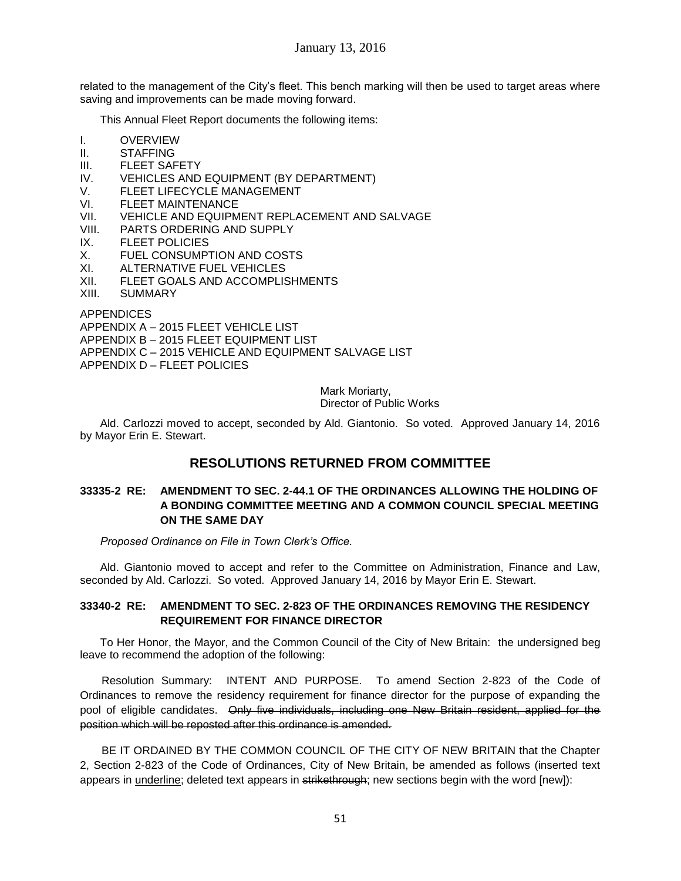related to the management of the City's fleet. This bench marking will then be used to target areas where saving and improvements can be made moving forward.

This Annual Fleet Report documents the following items:

- I. OVERVIEW
- II. STAFFING
- III. FLEET SAFETY
- IV. VEHICLES AND EQUIPMENT (BY DEPARTMENT)
- V. FLEET LIFECYCLE MANAGEMENT
- VI. FLEET MAINTENANCE
- VII. VEHICLE AND EQUIPMENT REPLACEMENT AND SALVAGE
- VIII. PARTS ORDERING AND SUPPLY
- IX. FLEET POLICIES
- X. FUEL CONSUMPTION AND COSTS
- XI. ALTERNATIVE FUEL VEHICLES
- XII. FLEET GOALS AND ACCOMPLISHMENTS
- XIII. SUMMARY

APPENDICES

APPENDIX A – 2015 FLEET VEHICLE LIST

APPENDIX B – 2015 FLEET EQUIPMENT LIST

APPENDIX C – 2015 VEHICLE AND EQUIPMENT SALVAGE LIST

APPENDIX D – FLEET POLICIES

Mark Moriarty,

Director of Public Works

Ald. Carlozzi moved to accept, seconded by Ald. Giantonio. So voted. Approved January 14, 2016 by Mayor Erin E. Stewart.

# **RESOLUTIONS RETURNED FROM COMMITTEE**

# **33335-2 RE: AMENDMENT TO SEC. 2-44.1 OF THE ORDINANCES ALLOWING THE HOLDING OF A BONDING COMMITTEE MEETING AND A COMMON COUNCIL SPECIAL MEETING ON THE SAME DAY**

*Proposed Ordinance on File in Town Clerk's Office.*

Ald. Giantonio moved to accept and refer to the Committee on Administration, Finance and Law, seconded by Ald. Carlozzi. So voted. Approved January 14, 2016 by Mayor Erin E. Stewart.

# **33340-2 RE: AMENDMENT TO SEC. 2-823 OF THE ORDINANCES REMOVING THE RESIDENCY REQUIREMENT FOR FINANCE DIRECTOR**

To Her Honor, the Mayor, and the Common Council of the City of New Britain: the undersigned beg leave to recommend the adoption of the following:

 Resolution Summary: INTENT AND PURPOSE. To amend Section 2-823 of the Code of Ordinances to remove the residency requirement for finance director for the purpose of expanding the pool of eligible candidates. Only five individuals, including one New Britain resident, applied for the position which will be reposted after this ordinance is amended.

 BE IT ORDAINED BY THE COMMON COUNCIL OF THE CITY OF NEW BRITAIN that the Chapter 2, Section 2-823 of the Code of Ordinances, City of New Britain, be amended as follows (inserted text appears in underline; deleted text appears in strikethrough; new sections begin with the word [new]):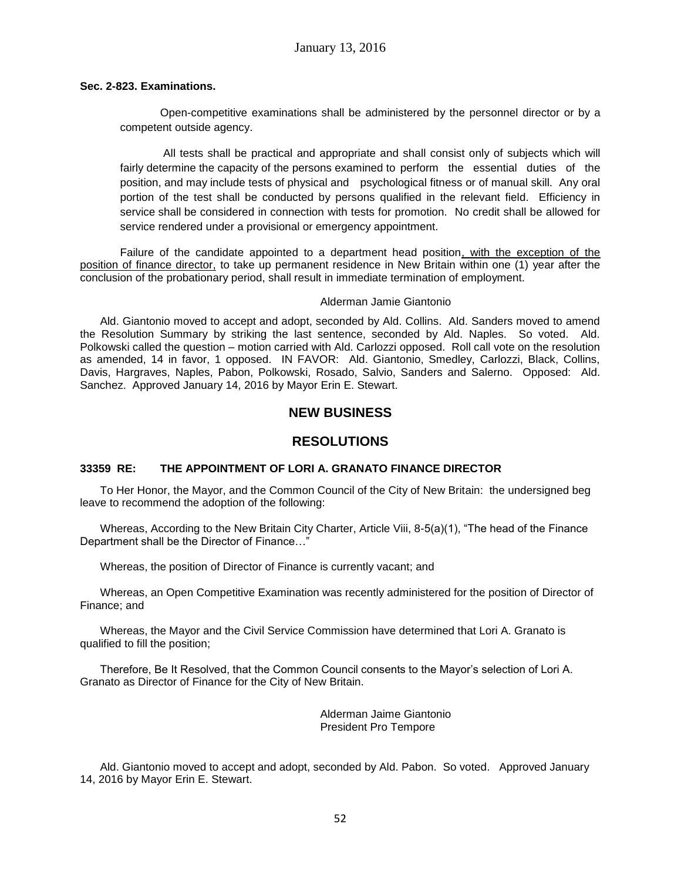## **Sec. 2-823. Examinations.**

 Open-competitive examinations shall be administered by the personnel director or by a competent outside agency.

 All tests shall be practical and appropriate and shall consist only of subjects which will fairly determine the capacity of the persons examined to perform the essential duties of the position, and may include tests of physical and psychological fitness or of manual skill. Any oral portion of the test shall be conducted by persons qualified in the relevant field. Efficiency in service shall be considered in connection with tests for promotion. No credit shall be allowed for service rendered under a provisional or emergency appointment.

Failure of the candidate appointed to a department head position, with the exception of the position of finance director, to take up permanent residence in New Britain within one (1) year after the conclusion of the probationary period, shall result in immediate termination of employment.

### Alderman Jamie Giantonio

Ald. Giantonio moved to accept and adopt, seconded by Ald. Collins. Ald. Sanders moved to amend the Resolution Summary by striking the last sentence, seconded by Ald. Naples. So voted. Ald. Polkowski called the question – motion carried with Ald. Carlozzi opposed. Roll call vote on the resolution as amended, 14 in favor, 1 opposed. IN FAVOR: Ald. Giantonio, Smedley, Carlozzi, Black, Collins, Davis, Hargraves, Naples, Pabon, Polkowski, Rosado, Salvio, Sanders and Salerno. Opposed: Ald. Sanchez. Approved January 14, 2016 by Mayor Erin E. Stewart.

# **NEW BUSINESS**

# **RESOLUTIONS**

# **33359 RE: THE APPOINTMENT OF LORI A. GRANATO FINANCE DIRECTOR**

To Her Honor, the Mayor, and the Common Council of the City of New Britain: the undersigned beg leave to recommend the adoption of the following:

Whereas, According to the New Britain City Charter, Article Viii, 8-5(a)(1), "The head of the Finance Department shall be the Director of Finance…"

Whereas, the position of Director of Finance is currently vacant; and

Whereas, an Open Competitive Examination was recently administered for the position of Director of Finance; and

Whereas, the Mayor and the Civil Service Commission have determined that Lori A. Granato is qualified to fill the position;

Therefore, Be It Resolved, that the Common Council consents to the Mayor's selection of Lori A. Granato as Director of Finance for the City of New Britain.

> Alderman Jaime Giantonio President Pro Tempore

Ald. Giantonio moved to accept and adopt, seconded by Ald. Pabon. So voted. Approved January 14, 2016 by Mayor Erin E. Stewart.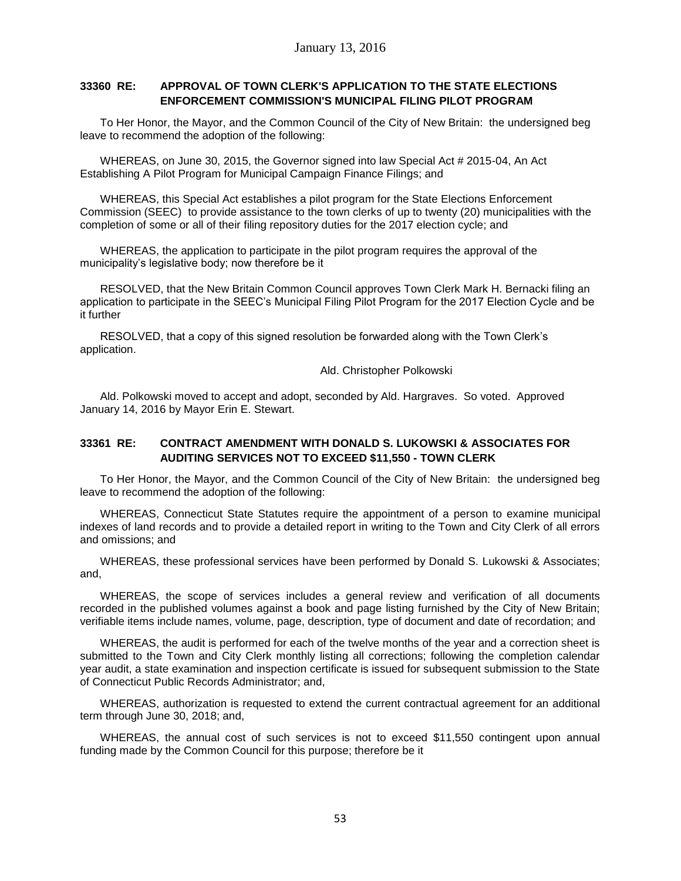# **33360 RE: APPROVAL OF TOWN CLERK'S APPLICATION TO THE STATE ELECTIONS ENFORCEMENT COMMISSION'S MUNICIPAL FILING PILOT PROGRAM**

To Her Honor, the Mayor, and the Common Council of the City of New Britain: the undersigned beg leave to recommend the adoption of the following:

WHEREAS, on June 30, 2015, the Governor signed into law Special Act # 2015-04, An Act Establishing A Pilot Program for Municipal Campaign Finance Filings; and

WHEREAS, this Special Act establishes a pilot program for the State Elections Enforcement Commission (SEEC) to provide assistance to the town clerks of up to twenty (20) municipalities with the completion of some or all of their filing repository duties for the 2017 election cycle; and

WHEREAS, the application to participate in the pilot program requires the approval of the municipality's legislative body; now therefore be it

RESOLVED, that the New Britain Common Council approves Town Clerk Mark H. Bernacki filing an application to participate in the SEEC's Municipal Filing Pilot Program for the 2017 Election Cycle and be it further

RESOLVED, that a copy of this signed resolution be forwarded along with the Town Clerk's application.

Ald. Christopher Polkowski

Ald. Polkowski moved to accept and adopt, seconded by Ald. Hargraves. So voted. Approved January 14, 2016 by Mayor Erin E. Stewart.

# **33361 RE: CONTRACT AMENDMENT WITH DONALD S. LUKOWSKI & ASSOCIATES FOR AUDITING SERVICES NOT TO EXCEED \$11,550 - TOWN CLERK**

To Her Honor, the Mayor, and the Common Council of the City of New Britain: the undersigned beg leave to recommend the adoption of the following:

WHEREAS, Connecticut State Statutes require the appointment of a person to examine municipal indexes of land records and to provide a detailed report in writing to the Town and City Clerk of all errors and omissions; and

WHEREAS, these professional services have been performed by Donald S. Lukowski & Associates; and,

WHEREAS, the scope of services includes a general review and verification of all documents recorded in the published volumes against a book and page listing furnished by the City of New Britain; verifiable items include names, volume, page, description, type of document and date of recordation; and

WHEREAS, the audit is performed for each of the twelve months of the year and a correction sheet is submitted to the Town and City Clerk monthly listing all corrections; following the completion calendar year audit, a state examination and inspection certificate is issued for subsequent submission to the State of Connecticut Public Records Administrator; and,

WHEREAS, authorization is requested to extend the current contractual agreement for an additional term through June 30, 2018; and,

WHEREAS, the annual cost of such services is not to exceed \$11,550 contingent upon annual funding made by the Common Council for this purpose; therefore be it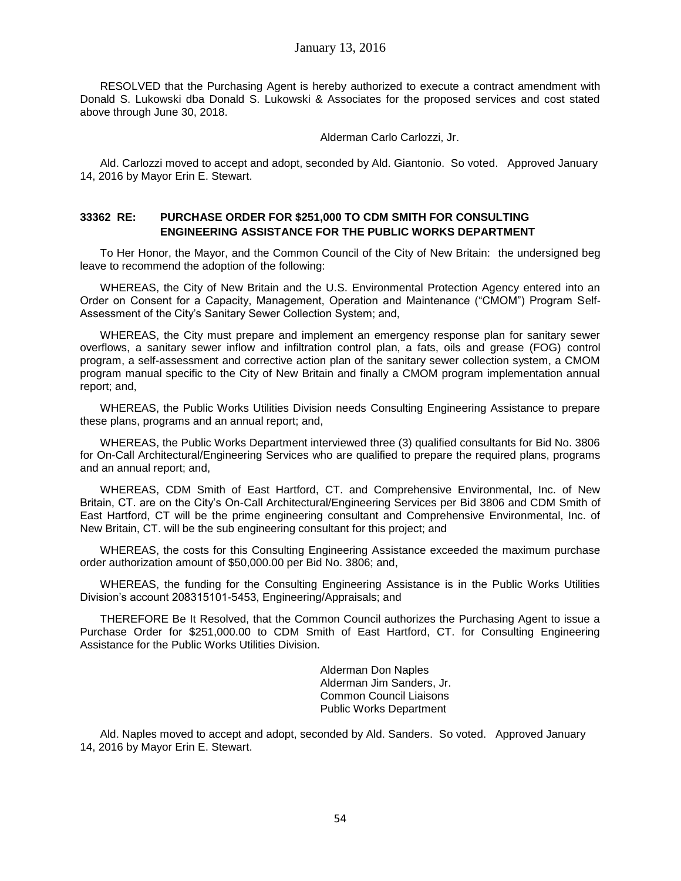RESOLVED that the Purchasing Agent is hereby authorized to execute a contract amendment with Donald S. Lukowski dba Donald S. Lukowski & Associates for the proposed services and cost stated above through June 30, 2018.

Alderman Carlo Carlozzi, Jr.

Ald. Carlozzi moved to accept and adopt, seconded by Ald. Giantonio. So voted. Approved January 14, 2016 by Mayor Erin E. Stewart.

# **33362 RE: PURCHASE ORDER FOR \$251,000 TO CDM SMITH FOR CONSULTING ENGINEERING ASSISTANCE FOR THE PUBLIC WORKS DEPARTMENT**

To Her Honor, the Mayor, and the Common Council of the City of New Britain: the undersigned beg leave to recommend the adoption of the following:

WHEREAS, the City of New Britain and the U.S. Environmental Protection Agency entered into an Order on Consent for a Capacity, Management, Operation and Maintenance ("CMOM") Program Self-Assessment of the City's Sanitary Sewer Collection System; and,

WHEREAS, the City must prepare and implement an emergency response plan for sanitary sewer overflows, a sanitary sewer inflow and infiltration control plan, a fats, oils and grease (FOG) control program, a self-assessment and corrective action plan of the sanitary sewer collection system, a CMOM program manual specific to the City of New Britain and finally a CMOM program implementation annual report; and,

WHEREAS, the Public Works Utilities Division needs Consulting Engineering Assistance to prepare these plans, programs and an annual report; and,

WHEREAS, the Public Works Department interviewed three (3) qualified consultants for Bid No. 3806 for On-Call Architectural/Engineering Services who are qualified to prepare the required plans, programs and an annual report; and,

WHEREAS, CDM Smith of East Hartford, CT. and Comprehensive Environmental, Inc. of New Britain, CT. are on the City's On-Call Architectural/Engineering Services per Bid 3806 and CDM Smith of East Hartford, CT will be the prime engineering consultant and Comprehensive Environmental, Inc. of New Britain, CT. will be the sub engineering consultant for this project; and

WHEREAS, the costs for this Consulting Engineering Assistance exceeded the maximum purchase order authorization amount of \$50,000.00 per Bid No. 3806; and,

WHEREAS, the funding for the Consulting Engineering Assistance is in the Public Works Utilities Division's account 208315101-5453, Engineering/Appraisals; and

THEREFORE Be It Resolved, that the Common Council authorizes the Purchasing Agent to issue a Purchase Order for \$251,000.00 to CDM Smith of East Hartford, CT. for Consulting Engineering Assistance for the Public Works Utilities Division.

> Alderman Don Naples Alderman Jim Sanders, Jr. Common Council Liaisons Public Works Department

Ald. Naples moved to accept and adopt, seconded by Ald. Sanders. So voted. Approved January 14, 2016 by Mayor Erin E. Stewart.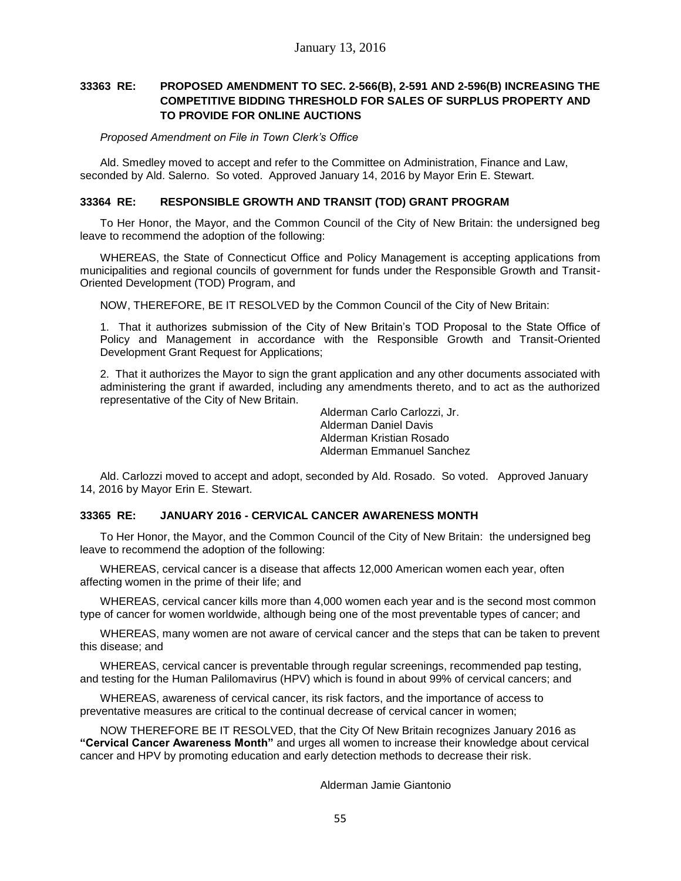# **33363 RE: PROPOSED AMENDMENT TO SEC. 2-566(B), 2-591 AND 2-596(B) INCREASING THE COMPETITIVE BIDDING THRESHOLD FOR SALES OF SURPLUS PROPERTY AND TO PROVIDE FOR ONLINE AUCTIONS**

*Proposed Amendment on File in Town Clerk's Office*

Ald. Smedley moved to accept and refer to the Committee on Administration, Finance and Law, seconded by Ald. Salerno. So voted. Approved January 14, 2016 by Mayor Erin E. Stewart.

## **33364 RE: RESPONSIBLE GROWTH AND TRANSIT (TOD) GRANT PROGRAM**

To Her Honor, the Mayor, and the Common Council of the City of New Britain: the undersigned beg leave to recommend the adoption of the following:

WHEREAS, the State of Connecticut Office and Policy Management is accepting applications from municipalities and regional councils of government for funds under the Responsible Growth and Transit-Oriented Development (TOD) Program, and

NOW, THEREFORE, BE IT RESOLVED by the Common Council of the City of New Britain:

1. That it authorizes submission of the City of New Britain's TOD Proposal to the State Office of Policy and Management in accordance with the Responsible Growth and Transit-Oriented Development Grant Request for Applications;

2. That it authorizes the Mayor to sign the grant application and any other documents associated with administering the grant if awarded, including any amendments thereto, and to act as the authorized representative of the City of New Britain.

> Alderman Carlo Carlozzi, Jr. Alderman Daniel Davis Alderman Kristian Rosado Alderman Emmanuel Sanchez

Ald. Carlozzi moved to accept and adopt, seconded by Ald. Rosado. So voted. Approved January 14, 2016 by Mayor Erin E. Stewart.

# **33365 RE: JANUARY 2016 - CERVICAL CANCER AWARENESS MONTH**

To Her Honor, the Mayor, and the Common Council of the City of New Britain: the undersigned beg leave to recommend the adoption of the following:

WHEREAS, cervical cancer is a disease that affects 12,000 American women each year, often affecting women in the prime of their life; and

WHEREAS, cervical cancer kills more than 4,000 women each year and is the second most common type of cancer for women worldwide, although being one of the most preventable types of cancer; and

WHEREAS, many women are not aware of cervical cancer and the steps that can be taken to prevent this disease; and

WHEREAS, cervical cancer is preventable through regular screenings, recommended pap testing, and testing for the Human Palilomavirus (HPV) which is found in about 99% of cervical cancers; and

WHEREAS, awareness of cervical cancer, its risk factors, and the importance of access to preventative measures are critical to the continual decrease of cervical cancer in women;

NOW THEREFORE BE IT RESOLVED, that the City Of New Britain recognizes January 2016 as **"Cervical Cancer Awareness Month"** and urges all women to increase their knowledge about cervical cancer and HPV by promoting education and early detection methods to decrease their risk.

### Alderman Jamie Giantonio